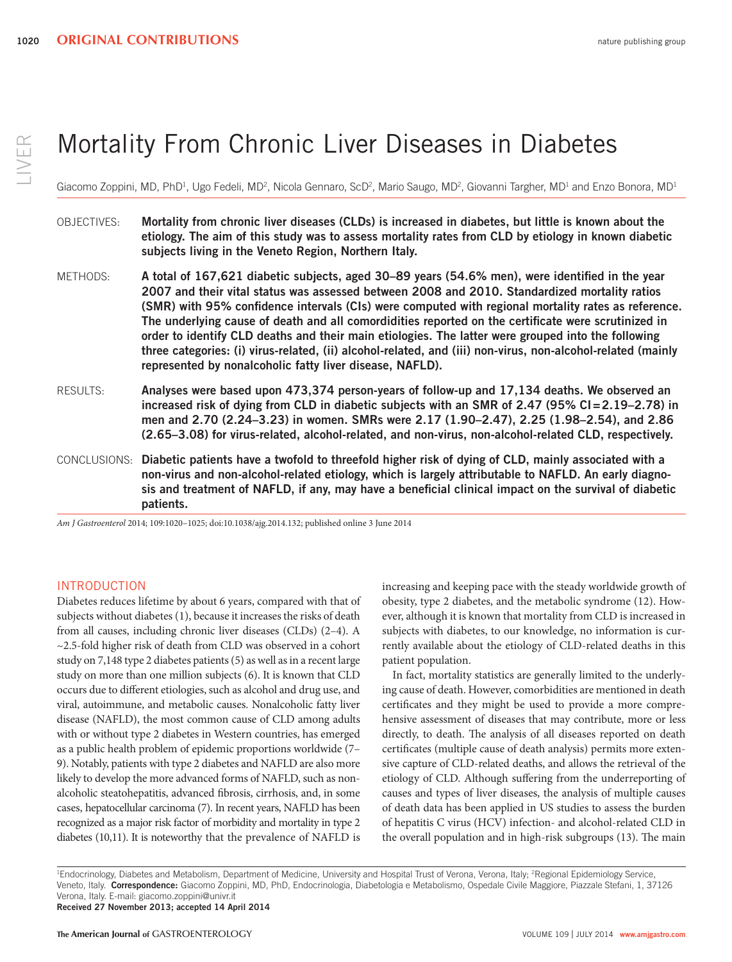# Mortality From Chronic Liver Diseases in Diabetes

Giacomo Zoppini, MD, PhD<sup>1</sup>, Ugo Fedeli, MD<sup>2</sup>, Nicola Gennaro, ScD<sup>2</sup>, Mario Saugo, MD<sup>2</sup>, Giovanni Targher, MD<sup>1</sup> and Enzo Bonora, MD<sup>1</sup>

- OBJECTIVES: **Mortality from chronic liver diseases (CLDs) is increased in diabetes, but little is known about the etiology. The aim of this study was to assess mortality rates from CLD by etiology in known diabetic subjects living in the Veneto Region, Northern Italy.**
- METHODS: A total of 167,621 diabetic subjects, aged 30–89 years (54.6% men), were identified in the year **2007 and their vital status was assessed between 2008 and 2010. Standardized mortality ratios**  (SMR) with 95% confidence intervals (CIs) were computed with regional mortality rates as reference. The underlying cause of death and all comordidities reported on the certificate were scrutinized in **order to identify CLD deaths and their main etiologies. The latter were grouped into the following three categories: (i) virus-related, (ii) alcohol-related, and (iii) non-virus, non-alcohol-related (mainly represented by nonalcoholic fatty liver disease, NAFLD).**
- RESULTS: **Analyses were based upon 473,374 person-years of follow-up and 17,134 deaths. We observed an**  increased risk of dying from CLD in diabetic subjects with an SMR of 2.47 (95% CI=2.19–2.78) in men and 2.70 (2.24–3.23) in women. SMRs were 2.17 (1.90–2.47), 2.25 (1.98–2.54), and 2.86 **(2.65 – 3.08) for virus-related, alcohol-related, and non-virus, non-alcohol-related CLD, respectively.**
- CONCLUSIONS: **Diabetic patients have a twofold to threefold higher risk of dying of CLD, mainly associated with a non-virus and non-alcohol-related etiology, which is largely attributable to NAFLD. An early diagnosis and treatment of NAFLD, if any, may have a benefi cial clinical impact on the survival of diabetic patients.**

*Am J Gastroenterol* 2014; 109:1020–1025; doi: 10.1038/ajg.2014.132; published online 3 June 2014

# INTRODUCTION

 Diabetes reduces lifetime by about 6 years, compared with that of subjects without diabetes (1), because it increases the risks of death from all causes, including chronic liver diseases (CLDs)  $(2-4)$ . A ~ 2.5-fold higher risk of death from CLD was observed in a cohort study on 7,148 type 2 diabetes patients (5) as well as in a recent large study on more than one million subjects (6). It is known that CLD occurs due to different etiologies, such as alcohol and drug use, and viral, autoimmune, and metabolic causes. Nonalcoholic fatty liver disease (NAFLD), the most common cause of CLD among adults with or without type 2 diabetes in Western countries, has emerged as a public health problem of epidemic proportions worldwide (7– 9 ). Notably, patients with type 2 diabetes and NAFLD are also more likely to develop the more advanced forms of NAFLD, such as nonalcoholic steatohepatitis, advanced fibrosis, cirrhosis, and, in some cases, hepatocellular carcinoma (7). In recent years, NAFLD has been recognized as a major risk factor of morbidity and mortality in type 2 diabetes (10,11). It is noteworthy that the prevalence of NAFLD is

increasing and keeping pace with the steady worldwide growth of obesity, type 2 diabetes, and the metabolic syndrome (12). However, although it is known that mortality from CLD is increased in subjects with diabetes, to our knowledge, no information is currently available about the etiology of CLD-related deaths in this patient population.

 In fact, mortality statistics are generally limited to the underlying cause of death. However, comorbidities are mentioned in death certificates and they might be used to provide a more comprehensive assessment of diseases that may contribute, more or less directly, to death. The analysis of all diseases reported on death certificates (multiple cause of death analysis) permits more extensive capture of CLD-related deaths, and allows the retrieval of the etiology of CLD. Although suffering from the underreporting of causes and types of liver diseases, the analysis of multiple causes of death data has been applied in US studies to assess the burden of hepatitis C virus (HCV) infection- and alcohol-related CLD in the overall population and in high-risk subgroups (13). The main

<sup>1</sup>Endocrinology, Diabetes and Metabolism, Department of Medicine, University and Hospital Trust of Verona, Verona, Italy; <sup>2</sup>Regional Epidemiology Service, Veneto, Italy. **Correspondence:** Giacomo Zoppini, MD, PhD, Endocrinologia, Diabetologia e Metabolismo, Ospedale Civile Maggiore, Piazzale Stefani, 1, 37126 Verona, Italy. E-mail: giacomo.zoppini@univr.it

**Received 27 November 2013; accepted 14 April 2014**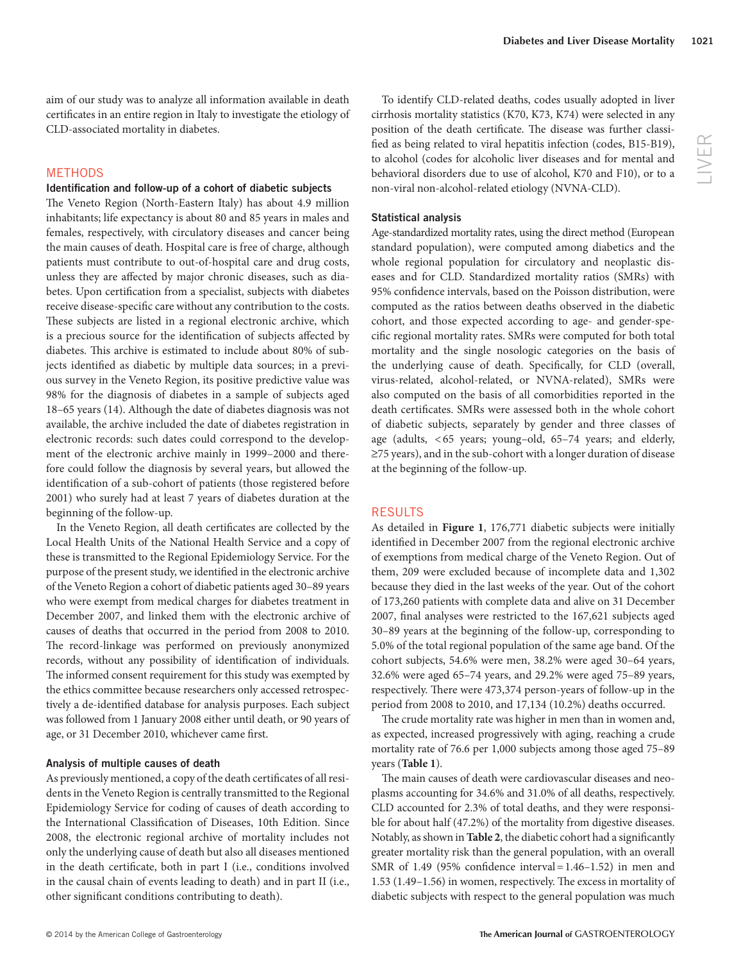aim of our study was to analyze all information available in death certificates in an entire region in Italy to investigate the etiology of CLD-associated mortality in diabetes.

# METHODS

#### **Identification and follow-up of a cohort of diabetic subjects**

The Veneto Region (North-Eastern Italy) has about 4.9 million inhabitants; life expectancy is about 80 and 85 years in males and females, respectively, with circulatory diseases and cancer being the main causes of death. Hospital care is free of charge, although patients must contribute to out-of-hospital care and drug costs, unless they are affected by major chronic diseases, such as diabetes. Upon certification from a specialist, subjects with diabetes receive disease-specific care without any contribution to the costs. These subjects are listed in a regional electronic archive, which is a precious source for the identification of subjects affected by diabetes. This archive is estimated to include about 80% of subjects identified as diabetic by multiple data sources; in a previous survey in the Veneto Region, its positive predictive value was 98% for the diagnosis of diabetes in a sample of subjects aged 18 – 65 years ( 14 ). Although the date of diabetes diagnosis was not available, the archive included the date of diabetes registration in electronic records: such dates could correspond to the development of the electronic archive mainly in 1999-2000 and therefore could follow the diagnosis by several years, but allowed the identification of a sub-cohort of patients (those registered before 2001) who surely had at least 7 years of diabetes duration at the beginning of the follow-up.

In the Veneto Region, all death certificates are collected by the Local Health Units of the National Health Service and a copy of these is transmitted to the Regional Epidemiology Service. For the purpose of the present study, we identified in the electronic archive of the Veneto Region a cohort of diabetic patients aged 30 – 89 years who were exempt from medical charges for diabetes treatment in December 2007, and linked them with the electronic archive of causes of deaths that occurred in the period from 2008 to 2010. The record-linkage was performed on previously anonymized records, without any possibility of identification of individuals. The informed consent requirement for this study was exempted by the ethics committee because researchers only accessed retrospectively a de-identified database for analysis purposes. Each subject was followed from 1 January 2008 either until death, or 90 years of age, or 31 December 2010, whichever came first.

#### **Analysis of multiple causes of death**

As previously mentioned, a copy of the death certificates of all residents in the Veneto Region is centrally transmitted to the Regional Epidemiology Service for coding of causes of death according to the International Classification of Diseases, 10th Edition. Since 2008, the electronic regional archive of mortality includes not only the underlying cause of death but also all diseases mentioned in the death certificate, both in part I (i.e., conditions involved in the causal chain of events leading to death) and in part II (i.e., other significant conditions contributing to death).

 To identify CLD-related deaths, codes usually adopted in liver cirrhosis mortality statistics (K70, K73, K74) were selected in any position of the death certificate. The disease was further classified as being related to viral hepatitis infection (codes, B15-B19), to alcohol (codes for alcoholic liver diseases and for mental and behavioral disorders due to use of alcohol, K70 and F10), or to a non-viral non-alcohol-related etiology (NVNA-CLD).

#### **Statistical analysis**

 Age-standardized mortality rates, using the direct method (European standard population), were computed among diabetics and the whole regional population for circulatory and neoplastic diseases and for CLD. Standardized mortality ratios (SMRs) with 95% confidence intervals, based on the Poisson distribution, were computed as the ratios between deaths observed in the diabetic cohort, and those expected according to age- and gender-specific regional mortality rates. SMRs were computed for both total mortality and the single nosologic categories on the basis of the underlying cause of death. Specifically, for CLD (overall, virus-related, alcohol-related, or NVNA-related), SMRs were also computed on the basis of all comorbidities reported in the death certificates. SMRs were assessed both in the whole cohort of diabetic subjects, separately by gender and three classes of age (adults,  $<$  65 years; young-old, 65-74 years; and elderly, ≥75 years), and in the sub-cohort with a longer duration of disease at the beginning of the follow-up.

#### RESULTS

As detailed in **Figure 1**, 176,771 diabetic subjects were initially identified in December 2007 from the regional electronic archive of exemptions from medical charge of the Veneto Region. Out of them, 209 were excluded because of incomplete data and 1,302 because they died in the last weeks of the year. Out of the cohort of 173,260 patients with complete data and alive on 31 December 2007, final analyses were restricted to the 167,621 subjects aged 30 – 89 years at the beginning of the follow-up, corresponding to 5.0 % of the total regional population of the same age band. Of the cohort subjects, 54.6% were men, 38.2% were aged 30-64 years, 32.6 % were aged 65 – 74 years, and 29.2 % were aged 75 – 89 years, respectively. There were 473,374 person-years of follow-up in the period from 2008 to 2010, and 17,134 (10.2%) deaths occurred.

The crude mortality rate was higher in men than in women and, as expected, increased progressively with aging, reaching a crude mortality rate of 76.6 per 1,000 subjects among those aged 75 – 89 years (Table 1).

The main causes of death were cardiovascular diseases and neoplasms accounting for 34.6% and 31.0% of all deaths, respectively. CLD accounted for 2.3% of total deaths, and they were responsible for about half (47.2%) of the mortality from digestive diseases. Notably, as shown in **Table 2**, the diabetic cohort had a significantly greater mortality risk than the general population, with an overall SMR of 1.49 (95% confidence interval =  $1.46 - 1.52$ ) in men and 1.53 (1.49-1.56) in women, respectively. The excess in mortality of diabetic subjects with respect to the general population was much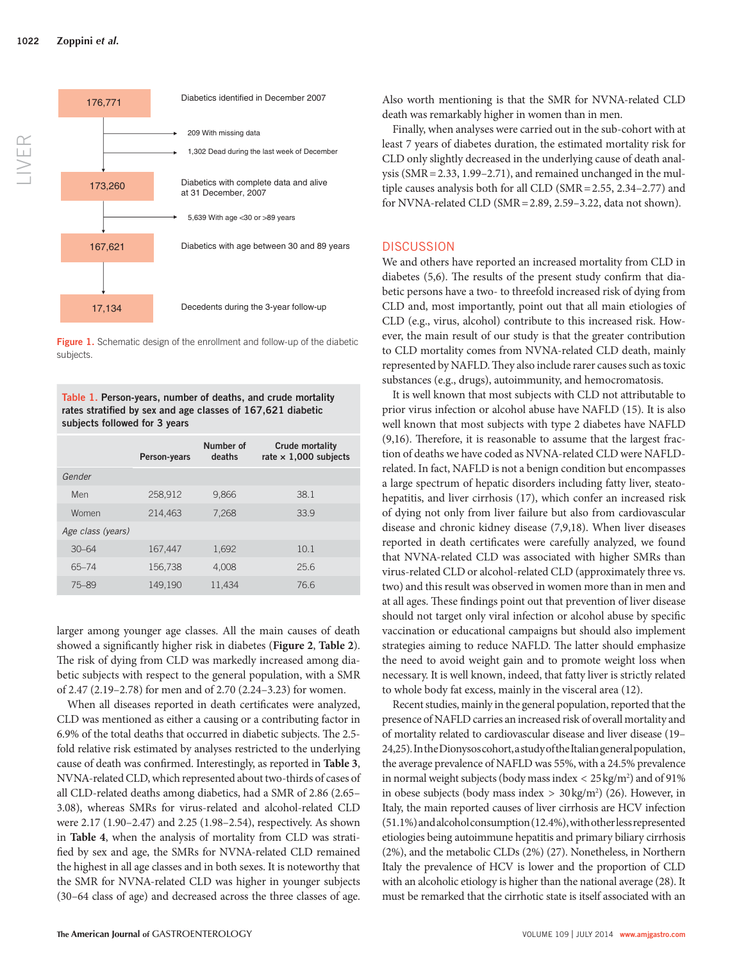

**Figure 1.** Schematic design of the enrollment and follow-up of the diabetic subjects.

**Table 1 . Person-years, number of deaths, and crude mortality**  rates stratified by sex and age classes of 167,621 diabetic **subjects followed for 3 years** 

|                   | Person-years | Number of<br>deaths | <b>Crude mortality</b><br>rate $\times$ 1,000 subjects |
|-------------------|--------------|---------------------|--------------------------------------------------------|
| Gender            |              |                     |                                                        |
| Men               | 258,912      | 9,866               | 38.1                                                   |
| Women             | 214,463      | 7.268               | 33.9                                                   |
| Age class (years) |              |                     |                                                        |
| $30 - 64$         | 167,447      | 1,692               | 10.1                                                   |
| 65-74             | 156,738      | 4.008               | 25.6                                                   |
| 75-89             | 149.190      | 11.434              | 76.6                                                   |

larger among younger age classes. All the main causes of death showed a significantly higher risk in diabetes (Figure 2, Table 2). The risk of dying from CLD was markedly increased among diabetic subjects with respect to the general population, with a SMR of 2.47 (2.19-2.78) for men and of 2.70 (2.24-3.23) for women.

When all diseases reported in death certificates were analyzed, CLD was mentioned as either a causing or a contributing factor in 6.9% of the total deaths that occurred in diabetic subjects. The 2.5fold relative risk estimated by analyses restricted to the underlying cause of death was confirmed. Interestingly, as reported in Table 3, NVNA-related CLD, which represented about two-thirds of cases of all CLD-related deaths among diabetics, had a SMR of 2.86 (2.65 – 3.08), whereas SMRs for virus-related and alcohol-related CLD were 2.17 (1.90-2.47) and 2.25 (1.98-2.54), respectively. As shown in **Table 4** , when the analysis of mortality from CLD was stratified by sex and age, the SMRs for NVNA-related CLD remained the highest in all age classes and in both sexes. It is noteworthy that the SMR for NVNA-related CLD was higher in younger subjects (30 – 64 class of age) and decreased across the three classes of age. Also worth mentioning is that the SMR for NVNA-related CLD death was remarkably higher in women than in men.

 Finally, when analyses were carried out in the sub-cohort with at least 7 years of diabetes duration, the estimated mortality risk for CLD only slightly decreased in the underlying cause of death analysis ( $SMR = 2.33$ , 1.99-2.71), and remained unchanged in the multiple causes analysis both for all CLD (SMR =  $2.55$ ,  $2.34-2.77$ ) and for NVNA-related CLD (SMR = 2.89, 2.59-3.22, data not shown).

#### **DISCUSSION**

 We and others have reported an increased mortality from CLD in diabetes  $(5,6)$ . The results of the present study confirm that diabetic persons have a two- to threefold increased risk of dying from CLD and, most importantly, point out that all main etiologies of CLD (e.g., virus, alcohol) contribute to this increased risk. However, the main result of our study is that the greater contribution to CLD mortality comes from NVNA-related CLD death, mainly represented by NAFLD. They also include rarer causes such as toxic substances (e.g., drugs), autoimmunity, and hemocromatosis.

 It is well known that most subjects with CLD not attributable to prior virus infection or alcohol abuse have NAFLD (15). It is also well known that most subjects with type 2 diabetes have NAFLD  $(9,16)$ . Therefore, it is reasonable to assume that the largest fraction of deaths we have coded as NVNA-related CLD were NAFLDrelated. In fact, NAFLD is not a benign condition but encompasses a large spectrum of hepatic disorders including fatty liver, steatohepatitis, and liver cirrhosis (17), which confer an increased risk of dying not only from liver failure but also from cardiovascular disease and chronic kidney disease (7,9,18). When liver diseases reported in death certificates were carefully analyzed, we found that NVNA-related CLD was associated with higher SMRs than virus-related CLD or alcohol-related CLD (approximately three vs. two) and this result was observed in women more than in men and at all ages. These findings point out that prevention of liver disease should not target only viral infection or alcohol abuse by specific vaccination or educational campaigns but should also implement strategies aiming to reduce NAFLD. The latter should emphasize the need to avoid weight gain and to promote weight loss when necessary. It is well known, indeed, that fatty liver is strictly related to whole body fat excess, mainly in the visceral area (12).

 Recent studies, mainly in the general population, reported that the presence of NAFLD carries an increased risk of overall mortality and of mortality related to cardiovascular disease and liver disease ( 19 – 24,25 ). In the Dionysos cohort, a study of the Italian general population, the average prevalence of NAFLD was 55%, with a 24.5% prevalence in normal weight subjects (body mass index  $<$  25 kg/m<sup>2</sup>) and of 91% in obese subjects (body mass index  $> 30 \text{ kg/m}^2$ ) (26). However, in Italy, the main reported causes of liver cirrhosis are HCV infection (51.1 % ) and alcohol consumption (12.4 % ), with other less represented etiologies being autoimmune hepatitis and primary biliary cirrhosis  $(2%)$ , and the metabolic CLDs  $(2%)$   $(27)$ . Nonetheless, in Northern Italy the prevalence of HCV is lower and the proportion of CLD with an alcoholic etiology is higher than the national average (28). It must be remarked that the cirrhotic state is itself associated with an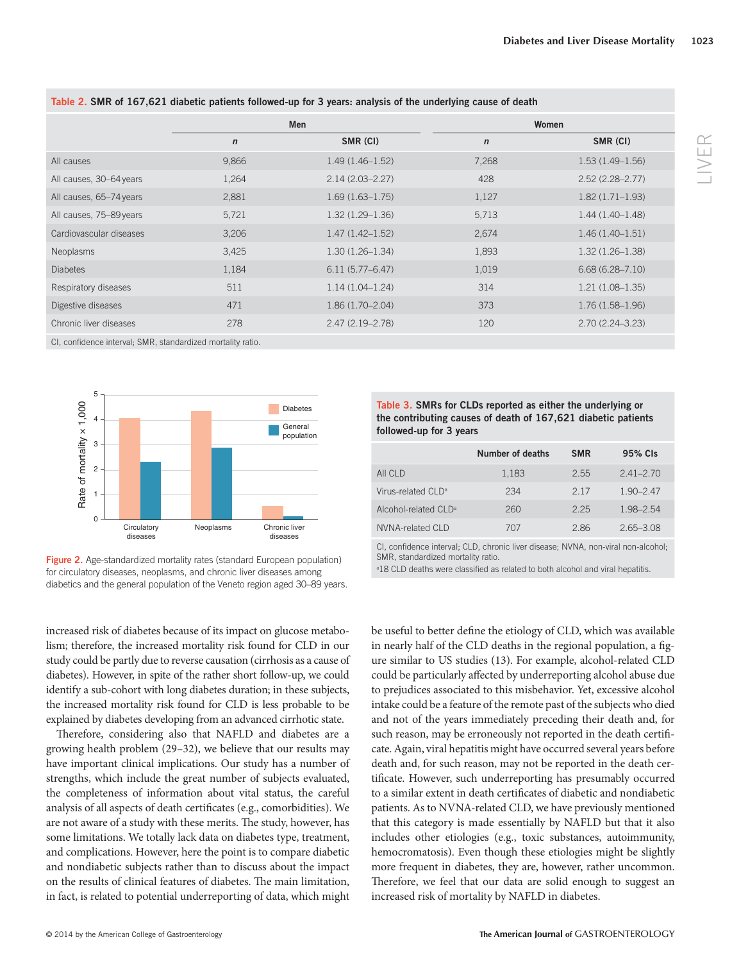| Men         |                     | Women       |                     |
|-------------|---------------------|-------------|---------------------|
| $\mathbf n$ | SMR (CI)            | $\mathbf n$ | SMR (CI)            |
| 9,866       | $1.49(1.46 - 1.52)$ | 7,268       | $1.53(1.49-1.56)$   |
| 1,264       | $2.14(2.03 - 2.27)$ | 428         | $2.52(2.28 - 2.77)$ |
| 2,881       | $1.69(1.63 - 1.75)$ | 1,127       | $1.82(1.71 - 1.93)$ |
| 5,721       | $1.32(1.29 - 1.36)$ | 5,713       | $1.44(1.40-1.48)$   |
| 3,206       | $1.47(1.42 - 1.52)$ | 2,674       | $1.46(1.40-1.51)$   |
| 3,425       | $1.30(1.26 - 1.34)$ | 1,893       | $1.32(1.26 - 1.38)$ |
| 1,184       | $6.11(5.77 - 6.47)$ | 1,019       | $6.68(6.28 - 7.10)$ |
| 511         | $1.14(1.04-1.24)$   | 314         | $1.21(1.08-1.35)$   |
| 471         | $1.86(1.70 - 2.04)$ | 373         | $1.76(1.58-1.96)$   |
| 278         | $2.47(2.19 - 2.78)$ | 120         | $2.70(2.24 - 3.23)$ |
|             |                     |             |                     |

**Table 2 . SMR of 167,621 diabetic patients followed-up for 3 years: analysis of the underlying cause of death** 

CI, confidence interval; SMR, standardized mortality ratio.



Figure 2. Age-standardized mortality rates (standard European population) for circulatory diseases, neoplasms, and chronic liver diseases among diabetics and the general population of the Veneto region aged 30-89 years.

increased risk of diabetes because of its impact on glucose metabolism; therefore, the increased mortality risk found for CLD in our study could be partly due to reverse causation (cirrhosis as a cause of diabetes). However, in spite of the rather short follow-up, we could identify a sub-cohort with long diabetes duration; in these subjects, the increased mortality risk found for CLD is less probable to be explained by diabetes developing from an advanced cirrhotic state.

Therefore, considering also that NAFLD and diabetes are a growing health problem (29–32), we believe that our results may have important clinical implications. Our study has a number of strengths, which include the great number of subjects evaluated, the completeness of information about vital status, the careful analysis of all aspects of death certificates (e.g., comorbidities). We are not aware of a study with these merits. The study, however, has some limitations. We totally lack data on diabetes type, treatment, and complications. However, here the point is to compare diabetic and nondiabetic subjects rather than to discuss about the impact on the results of clinical features of diabetes. The main limitation, in fact, is related to potential underreporting of data, which might



|                                  | Number of deaths | <b>SMR</b> | 95% Cls       |
|----------------------------------|------------------|------------|---------------|
| All CLD                          | 1,183            | 2.55       | $241 - 270$   |
| Virus-related CLD <sup>a</sup>   | 234              | 2 1 7      | $190 - 247$   |
| Alcohol-related CLD <sup>a</sup> | 260              | 225        | 1.98-2.54     |
| NVNA-related CLD                 | 707              | 286        | $2.65 - 3.08$ |

CI, confidence interval; CLD, chronic liver disease; NVNA, non-viral non-alcohol; SMR, standardized mortality ratio.

<sup>a</sup>18 CLD deaths were classified as related to both alcohol and viral hepatitis.

be useful to better define the etiology of CLD, which was available in nearly half of the CLD deaths in the regional population, a figure similar to US studies (13). For example, alcohol-related CLD could be particularly affected by underreporting alcohol abuse due to prejudices associated to this misbehavior. Yet, excessive alcohol intake could be a feature of the remote past of the subjects who died and not of the years immediately preceding their death and, for such reason, may be erroneously not reported in the death certificate. Again, viral hepatitis might have occurred several years before death and, for such reason, may not be reported in the death certificate. However, such underreporting has presumably occurred to a similar extent in death certificates of diabetic and nondiabetic patients. As to NVNA-related CLD, we have previously mentioned that this category is made essentially by NAFLD but that it also includes other etiologies (e.g., toxic substances, autoimmunity, hemocromatosis). Even though these etiologies might be slightly more frequent in diabetes, they are, however, rather uncommon. Therefore, we feel that our data are solid enough to suggest an increased risk of mortality by NAFLD in diabetes.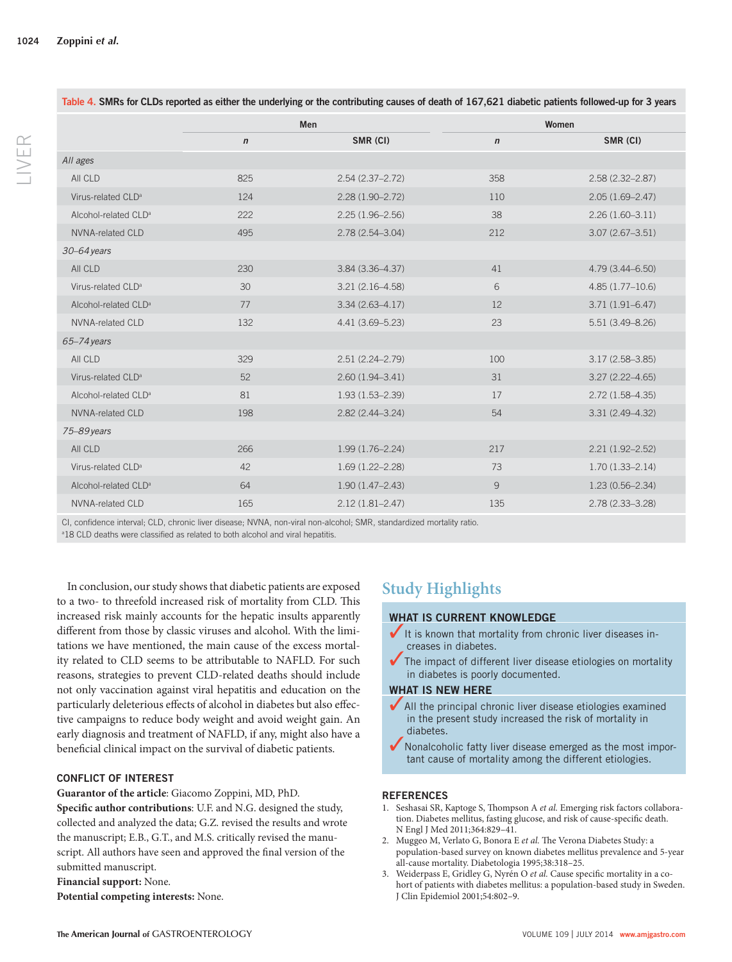LIVER

**Table 4 . SMRs for CLDs reported as either the underlying or the contributing causes of death of 167,621 diabetic patients followed-up for 3 years** 

|                                  | Men          |                     | Women        |                     |
|----------------------------------|--------------|---------------------|--------------|---------------------|
|                                  | $\mathsf{n}$ | SMR (CI)            | $\mathsf{n}$ | SMR (CI)            |
| All ages                         |              |                     |              |                     |
| All CLD                          | 825          | $2.54(2.37 - 2.72)$ | 358          | $2.58(2.32 - 2.87)$ |
| Virus-related CLD <sup>a</sup>   | 124          | $2.28(1.90 - 2.72)$ | 110          | $2.05(1.69 - 2.47)$ |
| Alcohol-related CLD <sup>a</sup> | 222          | $2.25(1.96 - 2.56)$ | 38           | $2.26(1.60-3.11)$   |
| NVNA-related CLD                 | 495          | $2.78(2.54 - 3.04)$ | 212          | $3.07(2.67 - 3.51)$ |
| $30 - 64$ years                  |              |                     |              |                     |
| All CLD                          | 230          | 3.84 (3.36-4.37)    | 41           | $4.79(3.44 - 6.50)$ |
| Virus-related CLD <sup>a</sup>   | 30           | $3.21(2.16 - 4.58)$ | 6            | $4.85(1.77-10.6)$   |
| Alcohol-related CLD <sup>a</sup> | 77           | $3.34(2.63 - 4.17)$ | 12           | $3.71(1.91 - 6.47)$ |
| <b>NVNA-related CLD</b>          | 132          | 4.41 (3.69-5.23)    | 23           | $5.51(3.49 - 8.26)$ |
| $65 - 74$ years                  |              |                     |              |                     |
| All CLD                          | 329          | $2.51(2.24 - 2.79)$ | 100          | $3.17(2.58 - 3.85)$ |
| Virus-related CLD <sup>a</sup>   | 52           | $2.60(1.94 - 3.41)$ | 31           | $3.27(2.22 - 4.65)$ |
| Alcohol-related CLD <sup>a</sup> | 81           | $1.93(1.53 - 2.39)$ | 17           | $2.72(1.58 - 4.35)$ |
| <b>NVNA-related CLD</b>          | 198          | $2.82(2.44 - 3.24)$ | 54           | $3.31(2.49 - 4.32)$ |
| 75-89 years                      |              |                     |              |                     |
| All CLD                          | 266          | $1.99(1.76 - 2.24)$ | 217          | $2.21(1.92 - 2.52)$ |
| Virus-related CLD <sup>a</sup>   | 42           | $1.69(1.22 - 2.28)$ | 73           | $1.70(1.33 - 2.14)$ |
| Alcohol-related CLD <sup>a</sup> | 64           | $1.90(1.47 - 2.43)$ | 9            | $1.23(0.56 - 2.34)$ |
| NVNA-related CLD                 | 165          | $2.12(1.81 - 2.47)$ | 135          | $2.78(2.33 - 3.28)$ |

CI, confidence interval; CLD, chronic liver disease; NVNA, non-viral non-alcohol; SMR, standardized mortality ratio.

a 18 CLD deaths were classified as related to both alcohol and viral hepatitis.

 In conclusion, our study shows that diabetic patients are exposed to a two- to threefold increased risk of mortality from CLD. This increased risk mainly accounts for the hepatic insults apparently different from those by classic viruses and alcohol. With the limitations we have mentioned, the main cause of the excess mortality related to CLD seems to be attributable to NAFLD. For such reasons, strategies to prevent CLD-related deaths should include not only vaccination against viral hepatitis and education on the particularly deleterious effects of alcohol in diabetes but also effective campaigns to reduce body weight and avoid weight gain. An early diagnosis and treatment of NAFLD, if any, might also have a beneficial clinical impact on the survival of diabetic patients.

## **CONFLICT OF INTEREST**

Guarantor of the article: Giacomo Zoppini, MD, PhD.

Specific author contributions: U.F. and N.G. designed the study, collected and analyzed the data; G.Z. revised the results and wrote the manuscript; E.B., G.T., and M.S. critically revised the manuscript. All authors have seen and approved the final version of the submitted manuscript.

#### **Financial support:** None.

**Potential competing interests:** None.

# **Study Highlights**

## **WHAT IS CURRENT KNOWLEDGE**

- It is known that mortality from chronic liver diseases increases in diabetes.
- $\blacktriangledown$  The impact of different liver disease etiologies on mortality in diabetes is poorly documented.

#### **WHAT IS NEW HERE**

- $\blacktriangleright$  All the principal chronic liver disease etiologies examined in the present study increased the risk of mortality in diabetes.
- $\blacktriangledown$  Nonalcoholic fatty liver disease emerged as the most important cause of mortality among the different etiologies.

## **REFERENCES**

- 1. Seshasai SR, Kaptoge S, Thompson A et al. Emerging risk factors collaboration. Diabetes mellitus, fasting glucose, and risk of cause-specific death. N Engl J Med 2011;364:829-41.
- 2. Muggeo M, Verlato G, Bonora E et al. The Verona Diabetes Study: a population-based survey on known diabetes mellitus prevalence and 5-year all-cause mortality. Diabetologia 1995;38:318-25.
- 3. Weiderpass E, Gridley G, Nyrén O et al. Cause specific mortality in a cohort of patients with diabetes mellitus: a population-based study in Sweden. J Clin Epidemiol 2001;54:802-9.